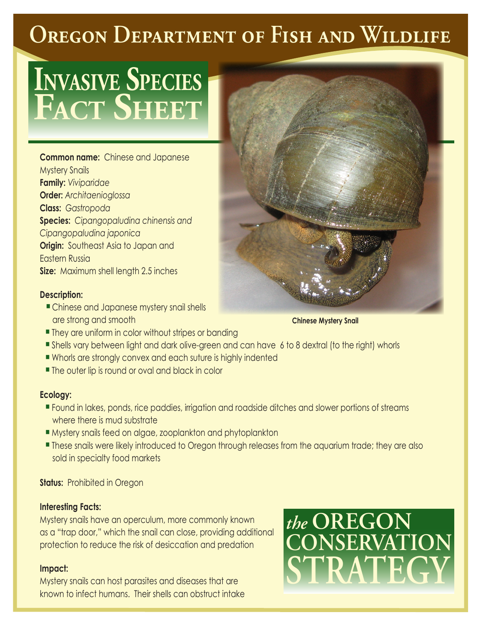## **Oregon Department of Fish and Wildlife**

# **Fact Sheet INVASIVE SPECIE**

**Common name:** Chinese and Japanese Mystery Snails **Family:** *Viviparidae* **Order:** *Architaenioglossa* **Class:** *Gastropoda* **Species:** *Cipangopaludina chinensis and Cipangopaludina japonica* **Origin:** Southeast Asia to Japan and Eastern Russia **Size:** Maximum shell length 2.5 inches

#### **Description:**

- Chinese and Japanese mystery snail shells are strong and smooth
- **Chinese Mystery Snail**
	-
- **They are uniform in color without stripes or banding**
- n Shells vary between light and dark olive-green and can have 6 to 8 dextral (to the right) whorls
- n Whorls are strongly convex and each suture is highly indented
- The outer lip is round or oval and black in color

#### **Ecology:**

- n Found in lakes, ponds, rice paddies, irrigation and roadside ditches and slower portions of streams where there is mud substrate
- n Mystery snails feed on algae, zooplankton and phytoplankton
- **If** These snails were likely introduced to Oregon through releases from the aquarium trade; they are also sold in specialty food markets

**Status:** Prohibited in Oregon

#### **Interesting Facts:**

Mystery snails have an operculum, more commonly known as a "trap door," which the snail can close, providing additional protection to reduce the risk of desiccation and predation

#### **Impact:**

Mystery snails can host parasites and diseases that are known to infect humans. Their shells can obstruct intake